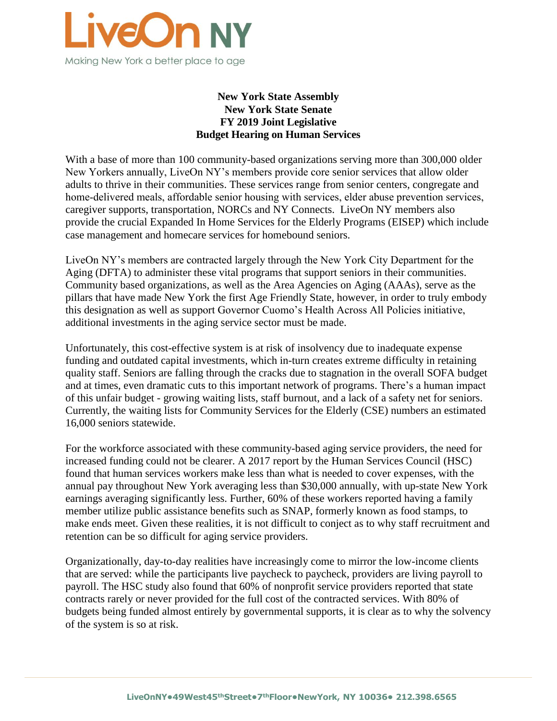

# **New York State Assembly New York State Senate FY 2019 Joint Legislative Budget Hearing on Human Services**

With a base of more than 100 community-based organizations serving more than 300,000 older New Yorkers annually, LiveOn NY's members provide core senior services that allow older adults to thrive in their communities. These services range from senior centers, congregate and home-delivered meals, affordable senior housing with services, elder abuse prevention services, caregiver supports, transportation, NORCs and NY Connects. LiveOn NY members also provide the crucial Expanded In Home Services for the Elderly Programs (EISEP) which include case management and homecare services for homebound seniors.

LiveOn NY's members are contracted largely through the New York City Department for the Aging (DFTA) to administer these vital programs that support seniors in their communities. Community based organizations, as well as the Area Agencies on Aging (AAAs), serve as the pillars that have made New York the first Age Friendly State, however, in order to truly embody this designation as well as support Governor Cuomo's Health Across All Policies initiative, additional investments in the aging service sector must be made.

Unfortunately, this cost-effective system is at risk of insolvency due to inadequate expense funding and outdated capital investments, which in-turn creates extreme difficulty in retaining quality staff. Seniors are falling through the cracks due to stagnation in the overall SOFA budget and at times, even dramatic cuts to this important network of programs. There's a human impact of this unfair budget - growing waiting lists, staff burnout, and a lack of a safety net for seniors. Currently, the waiting lists for Community Services for the Elderly (CSE) numbers an estimated 16,000 seniors statewide.

For the workforce associated with these community-based aging service providers, the need for increased funding could not be clearer. A 2017 report by the Human Services Council (HSC) found that human services workers make less than what is needed to cover expenses, with the annual pay throughout New York averaging less than \$30,000 annually, with up-state New York earnings averaging significantly less. Further, 60% of these workers reported having a family member utilize public assistance benefits such as SNAP, formerly known as food stamps, to make ends meet. Given these realities, it is not difficult to conject as to why staff recruitment and retention can be so difficult for aging service providers.

Organizationally, day-to-day realities have increasingly come to mirror the low-income clients that are served: while the participants live paycheck to paycheck, providers are living payroll to payroll. The HSC study also found that 60% of nonprofit service providers reported that state contracts rarely or never provided for the full cost of the contracted services. With 80% of budgets being funded almost entirely by governmental supports, it is clear as to why the solvency of the system is so at risk.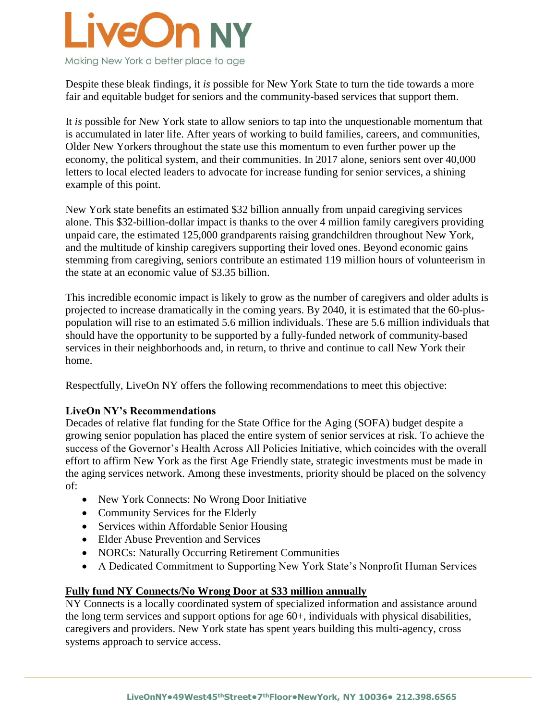

Despite these bleak findings, it *is* possible for New York State to turn the tide towards a more fair and equitable budget for seniors and the community-based services that support them.

It *is* possible for New York state to allow seniors to tap into the unquestionable momentum that is accumulated in later life. After years of working to build families, careers, and communities, Older New Yorkers throughout the state use this momentum to even further power up the economy, the political system, and their communities. In 2017 alone, seniors sent over 40,000 letters to local elected leaders to advocate for increase funding for senior services, a shining example of this point.

New York state benefits an estimated \$32 billion annually from unpaid caregiving services alone. This \$32-billion-dollar impact is thanks to the over 4 million family caregivers providing unpaid care, the estimated 125,000 grandparents raising grandchildren throughout New York, and the multitude of kinship caregivers supporting their loved ones. Beyond economic gains stemming from caregiving, seniors contribute an estimated 119 million hours of volunteerism in the state at an economic value of \$3.35 billion.

This incredible economic impact is likely to grow as the number of caregivers and older adults is projected to increase dramatically in the coming years. By 2040, it is estimated that the 60-pluspopulation will rise to an estimated 5.6 million individuals. These are 5.6 million individuals that should have the opportunity to be supported by a fully-funded network of community-based services in their neighborhoods and, in return, to thrive and continue to call New York their home.

Respectfully, LiveOn NY offers the following recommendations to meet this objective:

# **LiveOn NY's Recommendations**

Decades of relative flat funding for the State Office for the Aging (SOFA) budget despite a growing senior population has placed the entire system of senior services at risk. To achieve the success of the Governor's Health Across All Policies Initiative, which coincides with the overall effort to affirm New York as the first Age Friendly state, strategic investments must be made in the aging services network. Among these investments, priority should be placed on the solvency of:

- New York Connects: No Wrong Door Initiative
- Community Services for the Elderly
- Services within Affordable Senior Housing
- Elder Abuse Prevention and Services
- NORCs: Naturally Occurring Retirement Communities
- A Dedicated Commitment to Supporting New York State's Nonprofit Human Services

# **Fully fund NY Connects/No Wrong Door at \$33 million annually**

NY Connects is a locally coordinated system of specialized information and assistance around the long term services and support options for age 60+, individuals with physical disabilities, caregivers and providers. New York state has spent years building this multi-agency, cross systems approach to service access.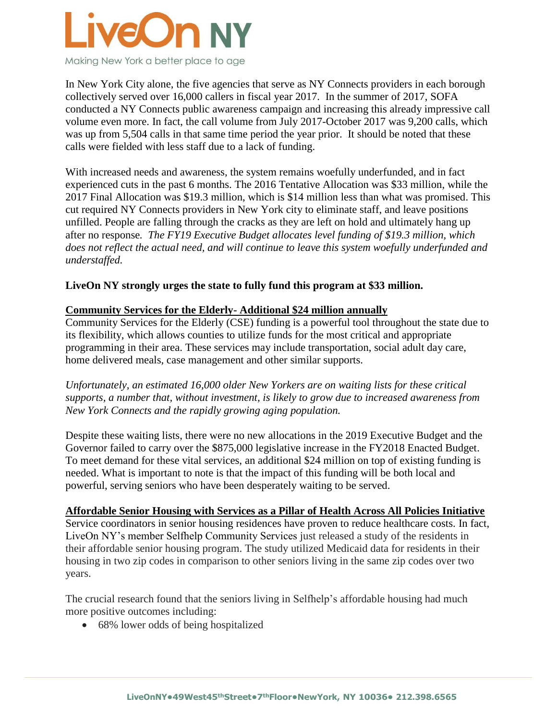

In New York City alone, the five agencies that serve as NY Connects providers in each borough collectively served over 16,000 callers in fiscal year 2017. In the summer of 2017, SOFA conducted a NY Connects public awareness campaign and increasing this already impressive call volume even more. In fact, the call volume from July 2017-October 2017 was 9,200 calls, which was up from 5,504 calls in that same time period the year prior. It should be noted that these calls were fielded with less staff due to a lack of funding.

With increased needs and awareness, the system remains woefully underfunded, and in fact experienced cuts in the past 6 months. The 2016 Tentative Allocation was \$33 million, while the 2017 Final Allocation was \$19.3 million, which is \$14 million less than what was promised. This cut required NY Connects providers in New York city to eliminate staff, and leave positions unfilled. People are falling through the cracks as they are left on hold and ultimately hang up after no response*. The FY19 Executive Budget allocates level funding of \$19.3 million, which does not reflect the actual need, and will continue to leave this system woefully underfunded and understaffed.*

# **LiveOn NY strongly urges the state to fully fund this program at \$33 million.**

### **Community Services for the Elderly- Additional \$24 million annually**

Community Services for the Elderly (CSE) funding is a powerful tool throughout the state due to its flexibility, which allows counties to utilize funds for the most critical and appropriate programming in their area. These services may include transportation, social adult day care, home delivered meals, case management and other similar supports.

*Unfortunately, an estimated 16,000 older New Yorkers are on waiting lists for these critical supports, a number that, without investment, is likely to grow due to increased awareness from New York Connects and the rapidly growing aging population.*

Despite these waiting lists, there were no new allocations in the 2019 Executive Budget and the Governor failed to carry over the \$875,000 legislative increase in the FY2018 Enacted Budget. To meet demand for these vital services, an additional \$24 million on top of existing funding is needed. What is important to note is that the impact of this funding will be both local and powerful, serving seniors who have been desperately waiting to be served.

#### **Affordable Senior Housing with Services as a Pillar of Health Across All Policies Initiative**

Service coordinators in senior housing residences have proven to reduce healthcare costs. In fact, LiveOn NY's member Selfhelp Community Services just released a study of the residents in their affordable senior housing program. The study utilized Medicaid data for residents in their housing in two zip codes in comparison to other seniors living in the same zip codes over two years.

The crucial research found that the seniors living in Selfhelp's affordable housing had much more positive outcomes including:

• 68% lower odds of being hospitalized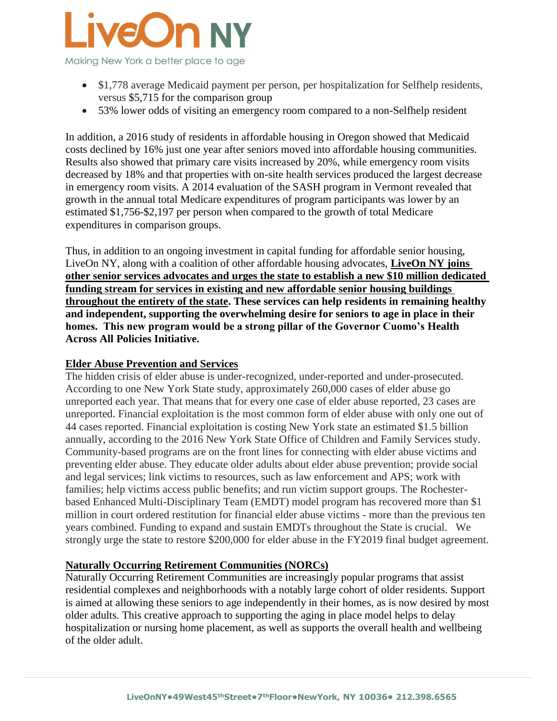

- \$1,778 average Medicaid payment per person, per hospitalization for Selfhelp residents, versus \$5,715 for the comparison group
- 53% lower odds of visiting an emergency room compared to a non-Selfhelp resident

In addition, a 2016 study of residents in affordable housing in Oregon showed that Medicaid costs declined by 16% just one year after seniors moved into affordable housing communities. Results also showed that primary care visits increased by 20%, while emergency room visits decreased by 18% and that properties with on-site health services produced the largest decrease in emergency room visits. A 2014 evaluation of the SASH program in Vermont revealed that growth in the annual total Medicare expenditures of program participants was lower by an estimated \$1,756-\$2,197 per person when compared to the growth of total Medicare expenditures in comparison groups.

Thus, in addition to an ongoing investment in capital funding for affordable senior housing, LiveOn NY, along with a coalition of other affordable housing advocates, **LiveOn NY joins other senior services advocates and urges the state to establish a new \$10 million dedicated funding stream for services in existing and new affordable senior housing buildings throughout the entirety of the state. These services can help residents in remaining healthy and independent, supporting the overwhelming desire for seniors to age in place in their homes. This new program would be a strong pillar of the Governor Cuomo's Health Across All Policies Initiative.** 

### **Elder Abuse Prevention and Services**

The hidden crisis of elder abuse is under-recognized, under-reported and under-prosecuted. According to one New York State study, approximately 260,000 cases of elder abuse go unreported each year. That means that for every one case of elder abuse reported, 23 cases are unreported. Financial exploitation is the most common form of elder abuse with only one out of 44 cases reported. Financial exploitation is costing New York state an estimated \$1.5 billion annually, according to the 2016 New York State Office of Children and Family Services study. Community-based programs are on the front lines for connecting with elder abuse victims and preventing elder abuse. They educate older adults about elder abuse prevention; provide social and legal services; link victims to resources, such as law enforcement and APS; work with families; help victims access public benefits; and run victim support groups. The Rochesterbased Enhanced Multi-Disciplinary Team (EMDT) model program has recovered more than \$1 million in court ordered restitution for financial elder abuse victims - more than the previous ten years combined. Funding to expand and sustain EMDTs throughout the State is crucial. We strongly urge the state to restore \$200,000 for elder abuse in the FY2019 final budget agreement.

# **Naturally Occurring Retirement Communities (NORCs)**

Naturally Occurring Retirement Communities are increasingly popular programs that assist residential complexes and neighborhoods with a notably large cohort of older residents. Support is aimed at allowing these seniors to age independently in their homes, as is now desired by most older adults. This creative approach to supporting the aging in place model helps to delay hospitalization or nursing home placement, as well as supports the overall health and wellbeing of the older adult.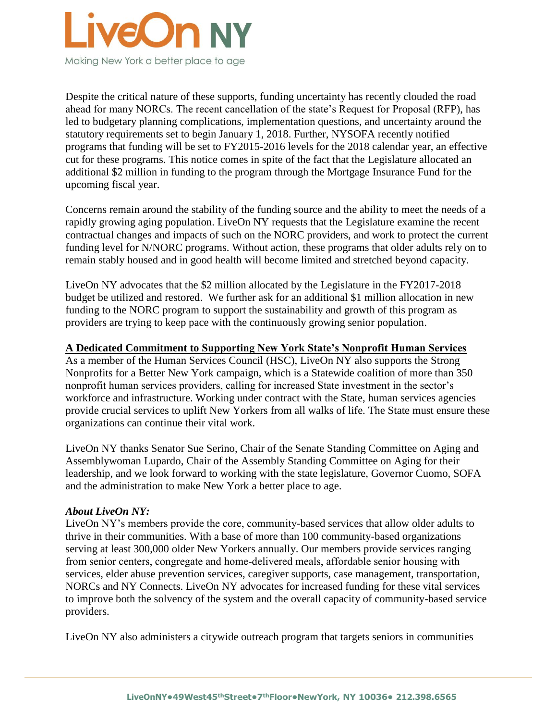

Despite the critical nature of these supports, funding uncertainty has recently clouded the road ahead for many NORCs. The recent cancellation of the state's Request for Proposal (RFP), has led to budgetary planning complications, implementation questions, and uncertainty around the statutory requirements set to begin January 1, 2018. Further, NYSOFA recently notified programs that funding will be set to FY2015-2016 levels for the 2018 calendar year, an effective cut for these programs. This notice comes in spite of the fact that the Legislature allocated an additional \$2 million in funding to the program through the Mortgage Insurance Fund for the upcoming fiscal year.

Concerns remain around the stability of the funding source and the ability to meet the needs of a rapidly growing aging population. LiveOn NY requests that the Legislature examine the recent contractual changes and impacts of such on the NORC providers, and work to protect the current funding level for N/NORC programs. Without action, these programs that older adults rely on to remain stably housed and in good health will become limited and stretched beyond capacity.

LiveOn NY advocates that the \$2 million allocated by the Legislature in the FY2017-2018 budget be utilized and restored. We further ask for an additional \$1 million allocation in new funding to the NORC program to support the sustainability and growth of this program as providers are trying to keep pace with the continuously growing senior population.

### **A Dedicated Commitment to Supporting New York State's Nonprofit Human Services**

As a member of the Human Services Council (HSC), LiveOn NY also supports the Strong Nonprofits for a Better New York campaign, which is a Statewide coalition of more than 350 nonprofit human services providers, calling for increased State investment in the sector's workforce and infrastructure. Working under contract with the State, human services agencies provide crucial services to uplift New Yorkers from all walks of life. The State must ensure these organizations can continue their vital work.

LiveOn NY thanks Senator Sue Serino, Chair of the Senate Standing Committee on Aging and Assemblywoman Lupardo, Chair of the Assembly Standing Committee on Aging for their leadership, and we look forward to working with the state legislature, Governor Cuomo, SOFA and the administration to make New York a better place to age.

### *About LiveOn NY:*

LiveOn NY's members provide the core, community-based services that allow older adults to thrive in their communities. With a base of more than 100 community-based organizations serving at least 300,000 older New Yorkers annually. Our members provide services ranging from senior centers, congregate and home‐delivered meals, affordable senior housing with services, elder abuse prevention services, caregiver supports, case management, transportation, NORCs and NY Connects. LiveOn NY advocates for increased funding for these vital services to improve both the solvency of the system and the overall capacity of community-based service providers.

LiveOn NY also administers a citywide outreach program that targets seniors in communities